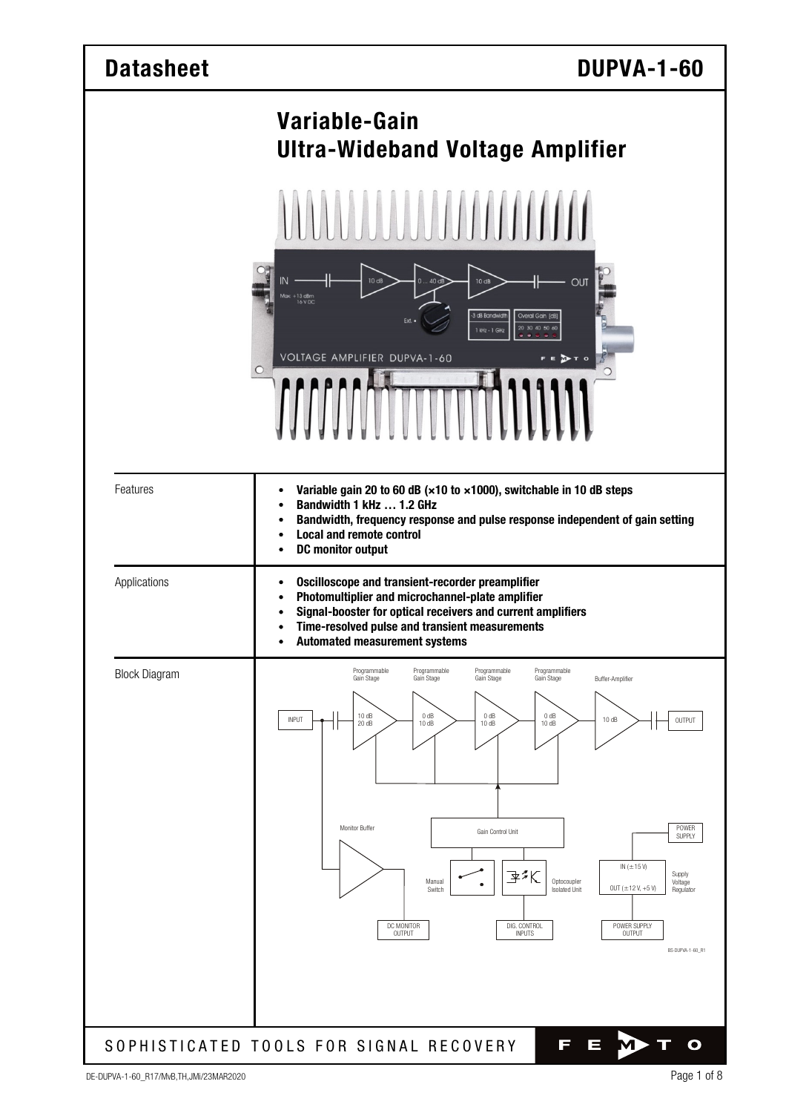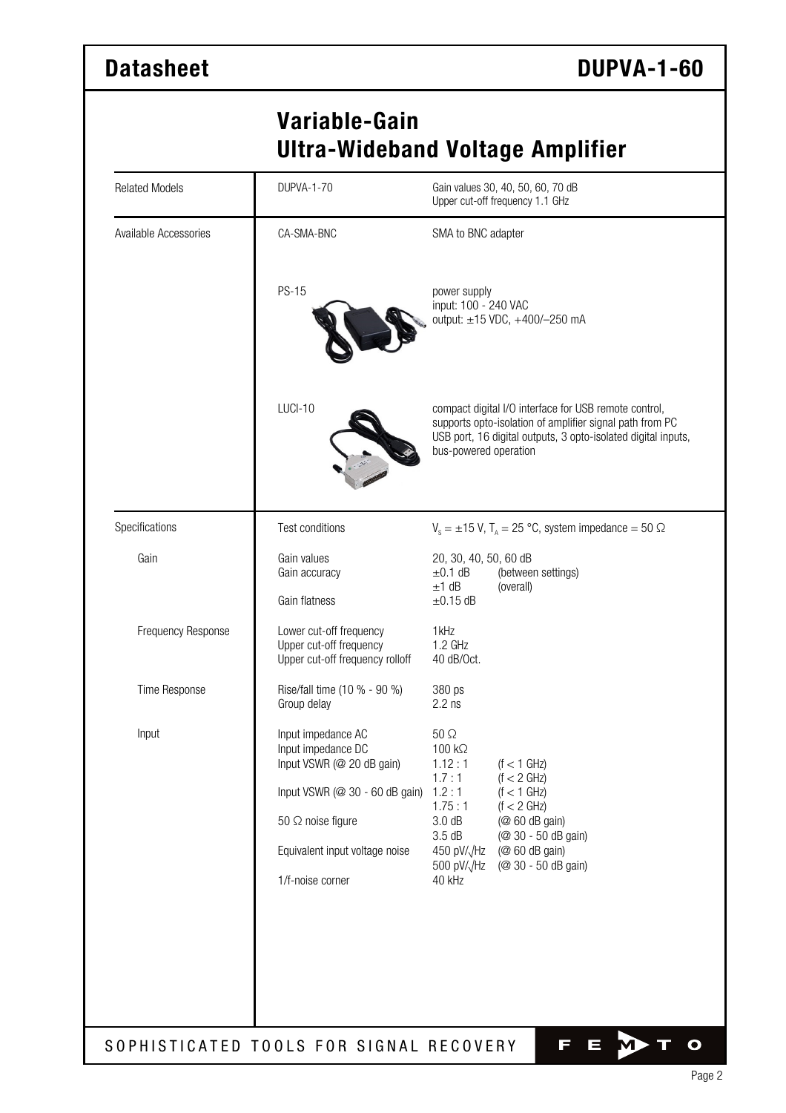# **Variable-Gain Ultra-Wideband Voltage Amplifier**

| <b>Related Models</b> | <b>DUPVA-1-70</b>                                                                                                                                                                         | Gain values 30, 40, 50, 60, 70 dB<br>Upper cut-off frequency 1.1 GHz                                                                                                                                                                                                                     |  |  |  |
|-----------------------|-------------------------------------------------------------------------------------------------------------------------------------------------------------------------------------------|------------------------------------------------------------------------------------------------------------------------------------------------------------------------------------------------------------------------------------------------------------------------------------------|--|--|--|
| Available Accessories | CA-SMA-BNC                                                                                                                                                                                | SMA to BNC adapter                                                                                                                                                                                                                                                                       |  |  |  |
|                       | <b>PS-15</b>                                                                                                                                                                              | power supply<br>input: 100 - 240 VAC<br>output: ±15 VDC, +400/-250 mA                                                                                                                                                                                                                    |  |  |  |
|                       | LUCI-10                                                                                                                                                                                   | compact digital I/O interface for USB remote control,<br>supports opto-isolation of amplifier signal path from PC<br>USB port, 16 digital outputs, 3 opto-isolated digital inputs,<br>bus-powered operation                                                                              |  |  |  |
| Specifications        | Test conditions                                                                                                                                                                           | $V_s = \pm 15$ V, T <sub>A</sub> = 25 °C, system impedance = 50 $\Omega$                                                                                                                                                                                                                 |  |  |  |
| Gain                  | Gain values<br>Gain accuracy<br>Gain flatness                                                                                                                                             | 20, 30, 40, 50, 60 dB<br>$\pm 0.1$ dB<br>(between settings)<br>$±1$ dB<br>(overall)<br>$\pm 0.15$ dB                                                                                                                                                                                     |  |  |  |
| Frequency Response    | Lower cut-off frequency<br>Upper cut-off frequency<br>Upper cut-off frequency rolloff                                                                                                     | 1kHz<br>1.2 GHz<br>40 dB/Oct.                                                                                                                                                                                                                                                            |  |  |  |
| Time Response         | Rise/fall time (10 % - 90 %)<br>Group delay                                                                                                                                               | 380 ps<br>$2.2$ ns                                                                                                                                                                                                                                                                       |  |  |  |
| Input                 | Input impedance AC<br>Input impedance DC<br>Input VSWR (@ 20 dB gain)<br>Input VSWR (@ 30 - 60 dB gain)<br>50 $\Omega$ noise figure<br>Equivalent input voltage noise<br>1/f-noise corner | $50 \Omega$<br>100 kΩ<br>1.12:1<br>$(f < 1$ GHz)<br>(f < 2 GHz)<br>1.7:1<br>1.2:1<br>$(f < 1$ GHz)<br>1.75:1<br>(f < 2 GHz)<br>3.0 dB<br>(@ 60 dB gain)<br>3.5dB<br>(@ 30 - 50 dB gain)<br>(@ 60 dB gain)<br>450 pV/ $\sqrt{Hz}$<br>(@ 30 - 50 dB gain)<br>500 pV/ $\sqrt{Hz}$<br>40 kHz |  |  |  |
|                       | SOPHISTICATED TOOLS FOR SIGNAL RECOVERY                                                                                                                                                   | П<br>$\equiv$<br>O                                                                                                                                                                                                                                                                       |  |  |  |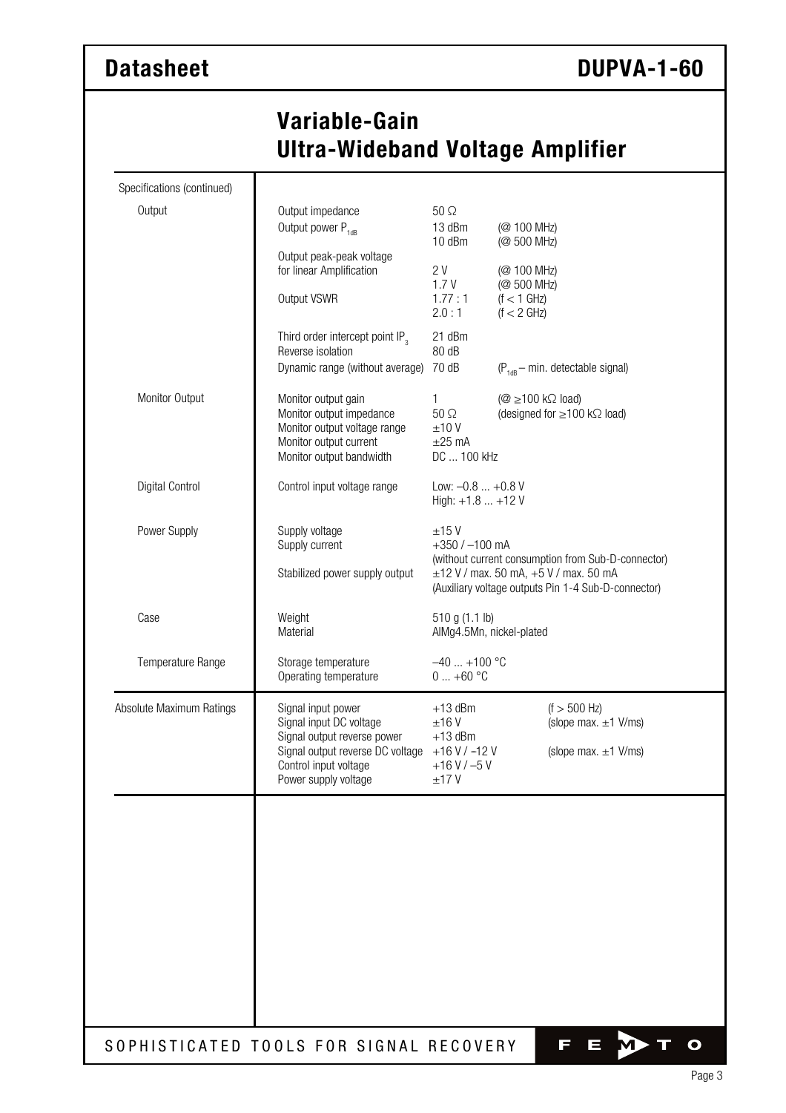# **Variable-Gain Ultra-Wideband Voltage Amplifier**

| Specifications (continued) |                                                                                                                                       |                                                                                                                                                                                     |                                                                                                       |  |  |
|----------------------------|---------------------------------------------------------------------------------------------------------------------------------------|-------------------------------------------------------------------------------------------------------------------------------------------------------------------------------------|-------------------------------------------------------------------------------------------------------|--|--|
| Output                     | Output impedance<br>Output power P <sub>1dB</sub>                                                                                     | $50\Omega$<br>13 dBm<br>10 dBm                                                                                                                                                      | (@ 100 MHz)<br>(@ 500 MHz)                                                                            |  |  |
|                            | Output peak-peak voltage<br>for linear Amplification                                                                                  | 2 V<br>1.7V                                                                                                                                                                         | (@ 100 MHz)<br>(@ 500 MHz)                                                                            |  |  |
|                            | Output VSWR                                                                                                                           | 1.77:1<br>2.0:1                                                                                                                                                                     | $(f < 1$ GHz)<br>(f < 2 GHz)                                                                          |  |  |
|                            | Third order intercept point IP <sub>3</sub><br>Reverse isolation                                                                      | 21 dBm<br>80 dB                                                                                                                                                                     |                                                                                                       |  |  |
|                            | Dynamic range (without average)                                                                                                       | 70 dB<br>$(P_{1dR}$ - min. detectable signal)                                                                                                                                       |                                                                                                       |  |  |
| Monitor Output             | Monitor output gain<br>Monitor output impedance<br>Monitor output voltage range<br>Monitor output current<br>Monitor output bandwidth | 1<br>$50 \Omega$<br>±10V<br>$\pm 25$ mA<br>DC  100 kHz                                                                                                                              | $(\textcircled{2} \ge 100 \text{ k}\Omega \text{ load})$<br>(designed for $\geq$ 100 k $\Omega$ load) |  |  |
| <b>Digital Control</b>     | Control input voltage range                                                                                                           | Low: $-0.8  +0.8$ V<br>High: $+1.8$ $+12$ V                                                                                                                                         |                                                                                                       |  |  |
| Power Supply               | Supply voltage<br>Supply current                                                                                                      | ±15V<br>$+350 / -100$ mA<br>(without current consumption from Sub-D-connector)<br>$\pm$ 12 V / max. 50 mA, +5 V / max. 50 mA<br>(Auxiliary voltage outputs Pin 1-4 Sub-D-connector) |                                                                                                       |  |  |
|                            | Stabilized power supply output                                                                                                        |                                                                                                                                                                                     |                                                                                                       |  |  |
| Case                       | Weight<br>Material                                                                                                                    | 510 g (1.1 lb)<br>AlMg4.5Mn, nickel-plated                                                                                                                                          |                                                                                                       |  |  |
| Temperature Range          | Storage temperature<br>Operating temperature                                                                                          | $-40+100$ °C<br>$0+60$ °C                                                                                                                                                           |                                                                                                       |  |  |
| Absolute Maximum Ratings   | Signal input power<br>Signal input DC voltage                                                                                         | $+13$ dBm<br>±16V                                                                                                                                                                   | $(f > 500$ Hz)<br>(slope max. $\pm 1$ V/ms)                                                           |  |  |
|                            | Signal output reverse power<br>Signal output reverse DC voltage<br>Control input voltage<br>Power supply voltage                      | $+13$ dBm<br>$+16$ V / $-12$ V<br>$+16$ V / $-5$ V<br>±17V                                                                                                                          | (slope max. $\pm 1$ V/ms)                                                                             |  |  |
|                            |                                                                                                                                       |                                                                                                                                                                                     |                                                                                                       |  |  |
|                            |                                                                                                                                       |                                                                                                                                                                                     |                                                                                                       |  |  |
|                            |                                                                                                                                       |                                                                                                                                                                                     |                                                                                                       |  |  |
|                            |                                                                                                                                       |                                                                                                                                                                                     |                                                                                                       |  |  |
|                            |                                                                                                                                       |                                                                                                                                                                                     |                                                                                                       |  |  |
|                            | SOPHISTICATED TOOLS FOR SIGNAL RECOVERY                                                                                               |                                                                                                                                                                                     | Т<br>$\equiv$<br>O                                                                                    |  |  |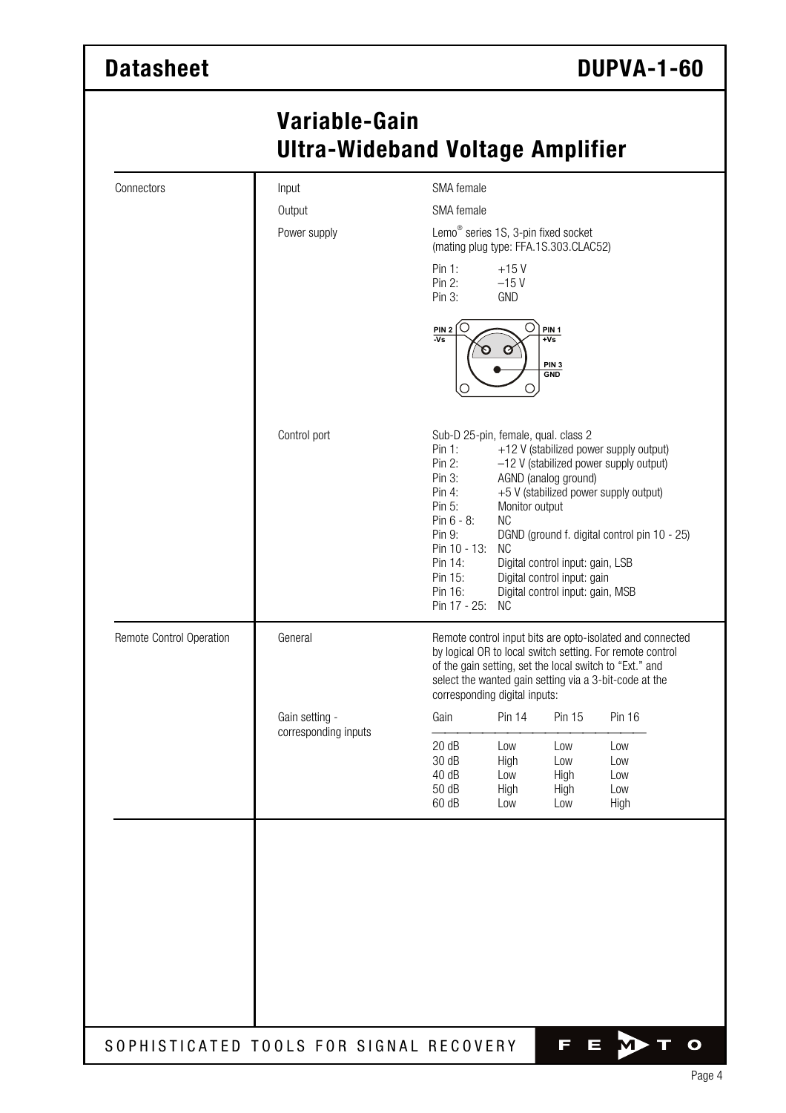# **Variable-Gain Ultra-Wideband Voltage Amplifier**

| Connectors               | Input                                  |                                                                                                                                                                                                                                                                              | SMA female                                                                                                                                                                                                                                                                                                                                                                                                                               |                                   |                                  |  |  |  |
|--------------------------|----------------------------------------|------------------------------------------------------------------------------------------------------------------------------------------------------------------------------------------------------------------------------------------------------------------------------|------------------------------------------------------------------------------------------------------------------------------------------------------------------------------------------------------------------------------------------------------------------------------------------------------------------------------------------------------------------------------------------------------------------------------------------|-----------------------------------|----------------------------------|--|--|--|
|                          | Output                                 | SMA female                                                                                                                                                                                                                                                                   |                                                                                                                                                                                                                                                                                                                                                                                                                                          |                                   |                                  |  |  |  |
|                          | Power supply                           | Lemo <sup>®</sup> series 1S, 3-pin fixed socket<br>(mating plug type: FFA.1S.303.CLAC52)<br>Pin 1:<br>$+15V$<br>Pin 2:<br>$-15V$<br><b>GND</b><br>Pin $3:$<br>Ο<br>O<br>$\frac{PIN 2}{Vs}$<br>PIN <sub>1</sub><br>$\overline{+Vs}$<br>Ø<br>PIN <sub>3</sub><br>GND<br>O<br>U |                                                                                                                                                                                                                                                                                                                                                                                                                                          |                                   |                                  |  |  |  |
|                          |                                        |                                                                                                                                                                                                                                                                              |                                                                                                                                                                                                                                                                                                                                                                                                                                          |                                   |                                  |  |  |  |
|                          |                                        |                                                                                                                                                                                                                                                                              |                                                                                                                                                                                                                                                                                                                                                                                                                                          |                                   |                                  |  |  |  |
|                          | Control port                           | Pin 1:<br>Pin 2:<br>Pin $3:$<br>Pin 4:<br>Pin 5:<br>Pin $6 - 8$ :<br>Pin 9:<br>Pin 14:<br>Pin 15:<br>Pin 16:                                                                                                                                                                 | Sub-D 25-pin, female, qual. class 2<br>+12 V (stabilized power supply output)<br>-12 V (stabilized power supply output)<br>AGND (analog ground)<br>+5 V (stabilized power supply output)<br>Monitor output<br><b>NC</b><br>DGND (ground f. digital control pin 10 - 25)<br>Pin 10 - 13:<br><b>NC</b><br>Digital control input: gain, LSB<br>Digital control input: gain<br>Digital control input: gain, MSB<br>Pin 17 - 25:<br><b>NC</b> |                                   |                                  |  |  |  |
| Remote Control Operation | General                                | Remote control input bits are opto-isolated and connected<br>by logical OR to local switch setting. For remote control<br>of the gain setting, set the local switch to "Ext." and<br>select the wanted gain setting via a 3-bit-code at the<br>corresponding digital inputs: |                                                                                                                                                                                                                                                                                                                                                                                                                                          |                                   |                                  |  |  |  |
|                          | Gain setting -<br>corresponding inputs | Gain                                                                                                                                                                                                                                                                         | <b>Pin 14</b>                                                                                                                                                                                                                                                                                                                                                                                                                            | Pin 15                            | <b>Pin 16</b>                    |  |  |  |
|                          |                                        | 20 dB<br>30 dB<br>40 dB<br>50 dB<br>60 dB                                                                                                                                                                                                                                    | Low<br>High<br>Low<br>High<br>Low                                                                                                                                                                                                                                                                                                                                                                                                        | Low<br>Low<br>High<br>High<br>Low | Low<br>Low<br>Low<br>Low<br>High |  |  |  |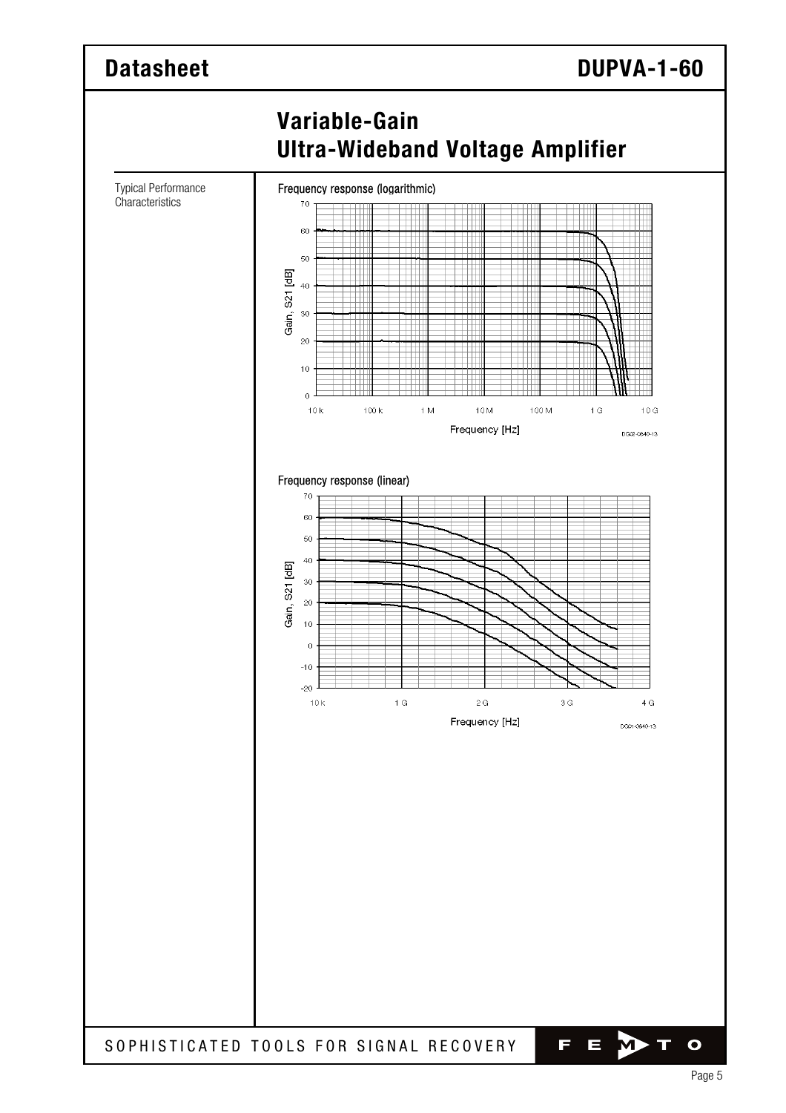### **Datasheet DuPVA-1-60 Variable-Gain Ultra-Wideband Voltage Amplifier**  Typical Performance Frequency response (logarithmic) **Characteristics** 70 60  $50^{\circ}$ Gain, S21 [dB]  $40$  $30$  $20$  $10$  $\overline{0}$  $10k$  $100k$  $1 M$ 10M 100 M  $\uparrow$  G  $10G$ Frequency [Hz] DG02-0640-13 Frequency response (linear) 70  $60$  $50$  $40$ [dB] 30  $rac{1}{2}$  $_{20}$ Gain,  $10$  $\ddot{\circ}$  $-10$  $-20$  $1<sup>°</sup>$  $2G$  $3<sup>°</sup>$  $4G$  $10k$ Frequency [Hz] DG01-0640-13

SOPHISTICATED TOOLS FOR SIGNAL RECOVERY

O

F

 $\equiv$ 

M)

Т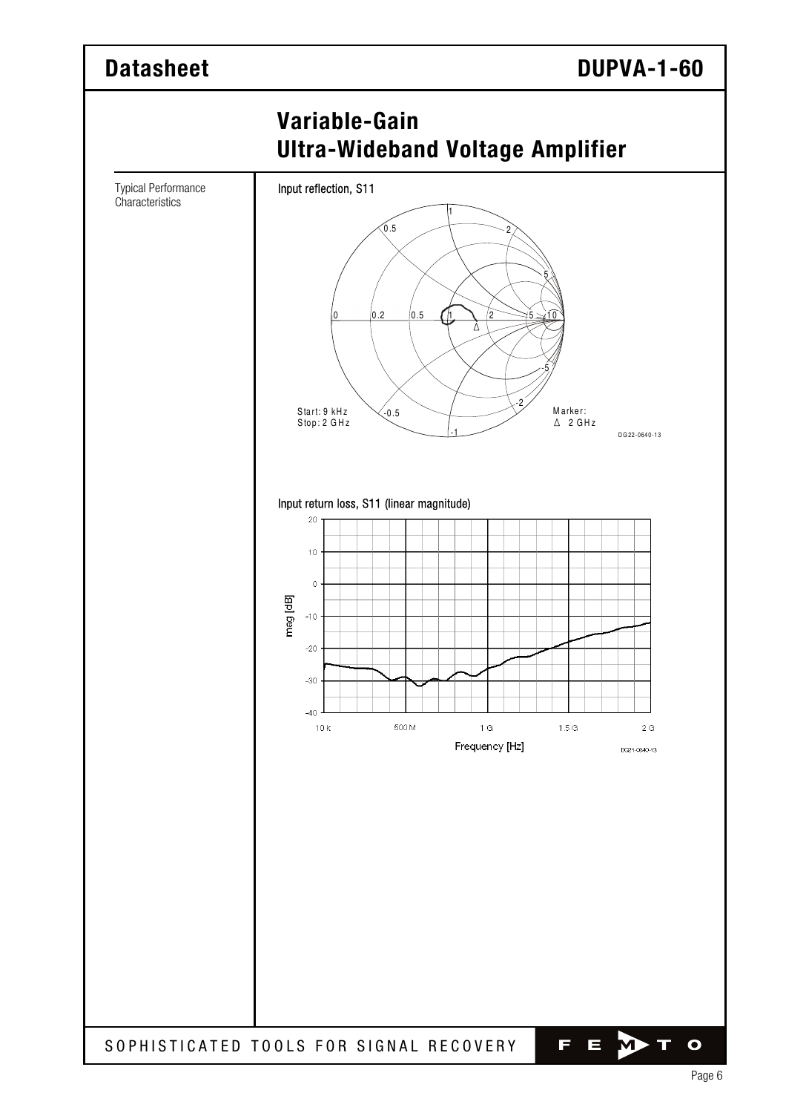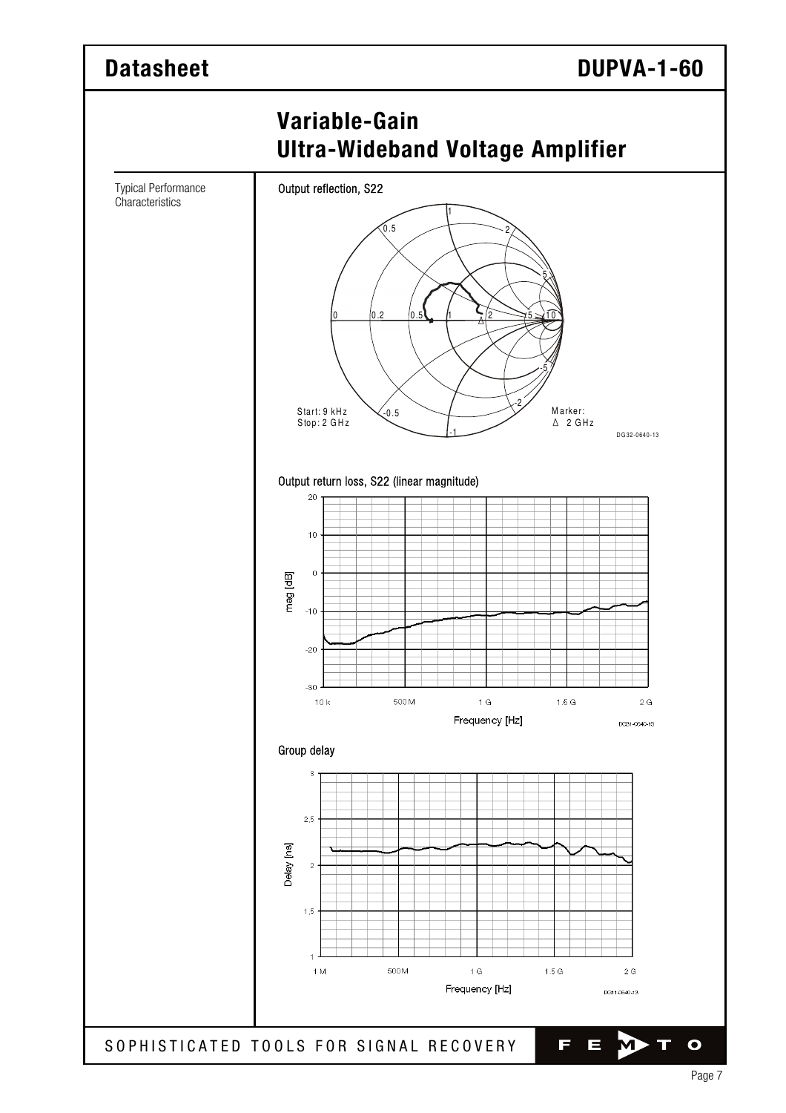